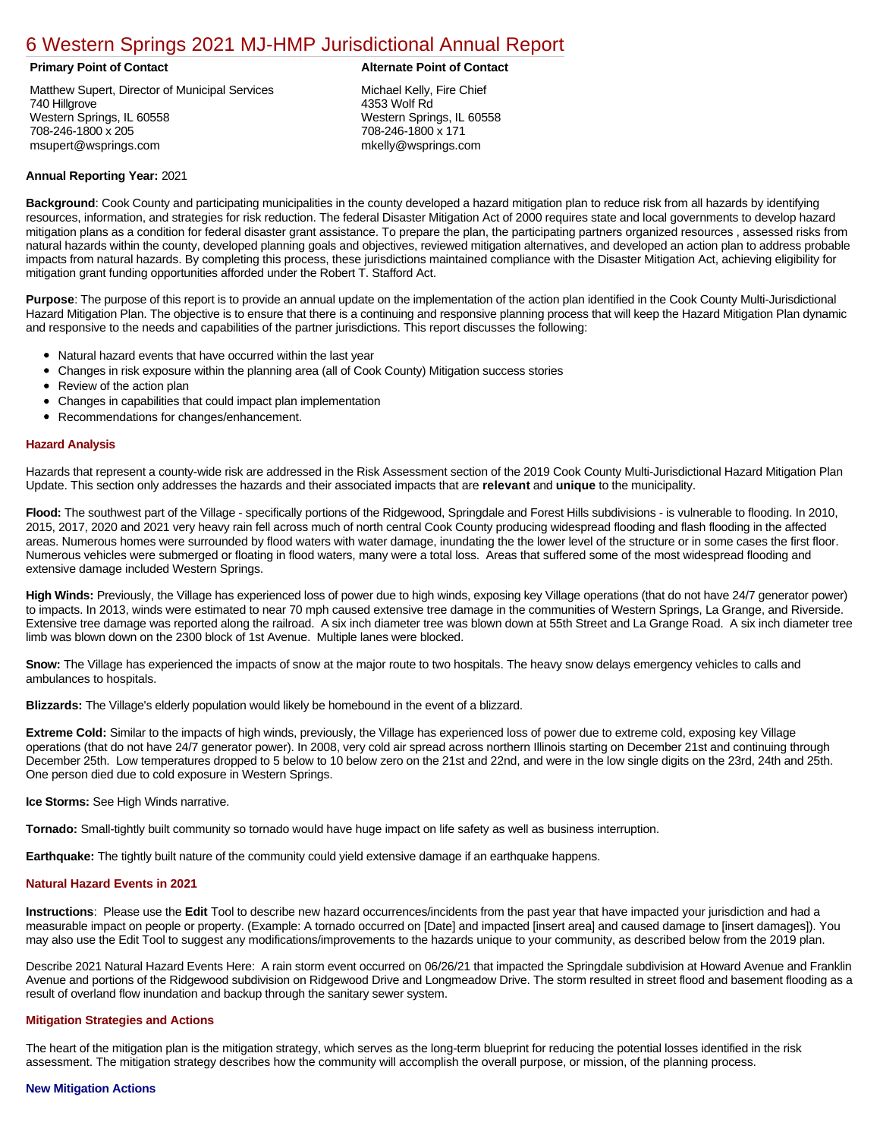# [6 Western Springs 2021 MJ-HMP Jurisdictional Annual Report](https://western.isc-cemp.com/Cemp/Details?id=8326673)

Matthew Supert, Director of Municipal Services 740 Hillgrove Western Springs, IL 60558 708-246-1800 x 205 msupert@wsprings.com

#### **Primary Point of Contact Alternate Point of Contact**

Michael Kelly, Fire Chief 4353 Wolf Rd Western Springs, IL 60558 708-246-1800 x 171 mkelly@wsprings.com

### **Annual Reporting Year:** 2021

**Background**: Cook County and participating municipalities in the county developed a hazard mitigation plan to reduce risk from all hazards by identifying resources, information, and strategies for risk reduction. The federal Disaster Mitigation Act of 2000 requires state and local governments to develop hazard mitigation plans as a condition for federal disaster grant assistance. To prepare the plan, the participating partners organized resources , assessed risks from natural hazards within the county, developed planning goals and objectives, reviewed mitigation alternatives, and developed an action plan to address probable impacts from natural hazards. By completing this process, these jurisdictions maintained compliance with the Disaster Mitigation Act, achieving eligibility for mitigation grant funding opportunities afforded under the Robert T. Stafford Act.

**Purpose**: The purpose of this report is to provide an annual update on the implementation of the action plan identified in the Cook County Multi-Jurisdictional Hazard Mitigation Plan. The objective is to ensure that there is a continuing and responsive planning process that will keep the Hazard Mitigation Plan dynamic and responsive to the needs and capabilities of the partner jurisdictions. This report discusses the following:

- Natural hazard events that have occurred within the last year
- $\bullet$ Changes in risk exposure within the planning area (all of Cook County) Mitigation success stories
- Review of the action plan  $\bullet$
- $\bullet$ Changes in capabilities that could impact plan implementation
- Recommendations for changes/enhancement.

#### **Hazard Analysis**

Hazards that represent a county-wide risk are addressed in the Risk Assessment section of the 2019 Cook County Multi-Jurisdictional Hazard Mitigation Plan Update. This section only addresses the hazards and their associated impacts that are **relevant** and **unique** to the municipality.

**Flood:** The southwest part of the Village - specifically portions of the Ridgewood, Springdale and Forest Hills subdivisions - is vulnerable to flooding. In 2010, 2015, 2017, 2020 and 2021 very heavy rain fell across much of north central Cook County producing widespread flooding and flash flooding in the affected areas. Numerous homes were surrounded by flood waters with water damage, inundating the the lower level of the structure or in some cases the first floor. Numerous vehicles were submerged or floating in flood waters, many were a total loss. Areas that suffered some of the most widespread flooding and extensive damage included Western Springs.

**High Winds:** Previously, the Village has experienced loss of power due to high winds, exposing key Village operations (that do not have 24/7 generator power) to impacts. In 2013, winds were estimated to near 70 mph caused extensive tree damage in the communities of Western Springs, La Grange, and Riverside. Extensive tree damage was reported along the railroad. A six inch diameter tree was blown down at 55th Street and La Grange Road. A six inch diameter tree limb was blown down on the 2300 block of 1st Avenue. Multiple lanes were blocked.

**Snow:** The Village has experienced the impacts of snow at the major route to two hospitals. The heavy snow delays emergency vehicles to calls and ambulances to hospitals.

**Blizzards:** The Village's elderly population would likely be homebound in the event of a blizzard.

**Extreme Cold:** Similar to the impacts of high winds, previously, the Village has experienced loss of power due to extreme cold, exposing key Village operations (that do not have 24/7 generator power). In 2008, very cold air spread across northern Illinois starting on December 21st and continuing through December 25th. Low temperatures dropped to 5 below to 10 below zero on the 21st and 22nd, and were in the low single digits on the 23rd, 24th and 25th. One person died due to cold exposure in Western Springs.

**Ice Storms:** See High Winds narrative.

**Tornado:** Small-tightly built community so tornado would have huge impact on life safety as well as business interruption.

**Earthquake:** The tightly built nature of the community could yield extensive damage if an earthquake happens.

### **Natural Hazard Events in 2021**

**Instructions**: Please use the **Edit** Tool to describe new hazard occurrences/incidents from the past year that have impacted your jurisdiction and had a measurable impact on people or property. (Example: A tornado occurred on [Date] and impacted [insert area] and caused damage to [insert damages]). You may also use the Edit Tool to suggest any modifications/improvements to the hazards unique to your community, as described below from the 2019 plan.

Describe 2021 Natural Hazard Events Here: A rain storm event occurred on 06/26/21 that impacted the Springdale subdivision at Howard Avenue and Franklin Avenue and portions of the Ridgewood subdivision on Ridgewood Drive and Longmeadow Drive. The storm resulted in street flood and basement flooding as a result of overland flow inundation and backup through the sanitary sewer system.

#### **Mitigation Strategies and Actions**

The heart of the mitigation plan is the mitigation strategy, which serves as the long-term blueprint for reducing the potential losses identified in the risk assessment. The mitigation strategy describes how the community will accomplish the overall purpose, or mission, of the planning process.

## **New Mitigation Actions**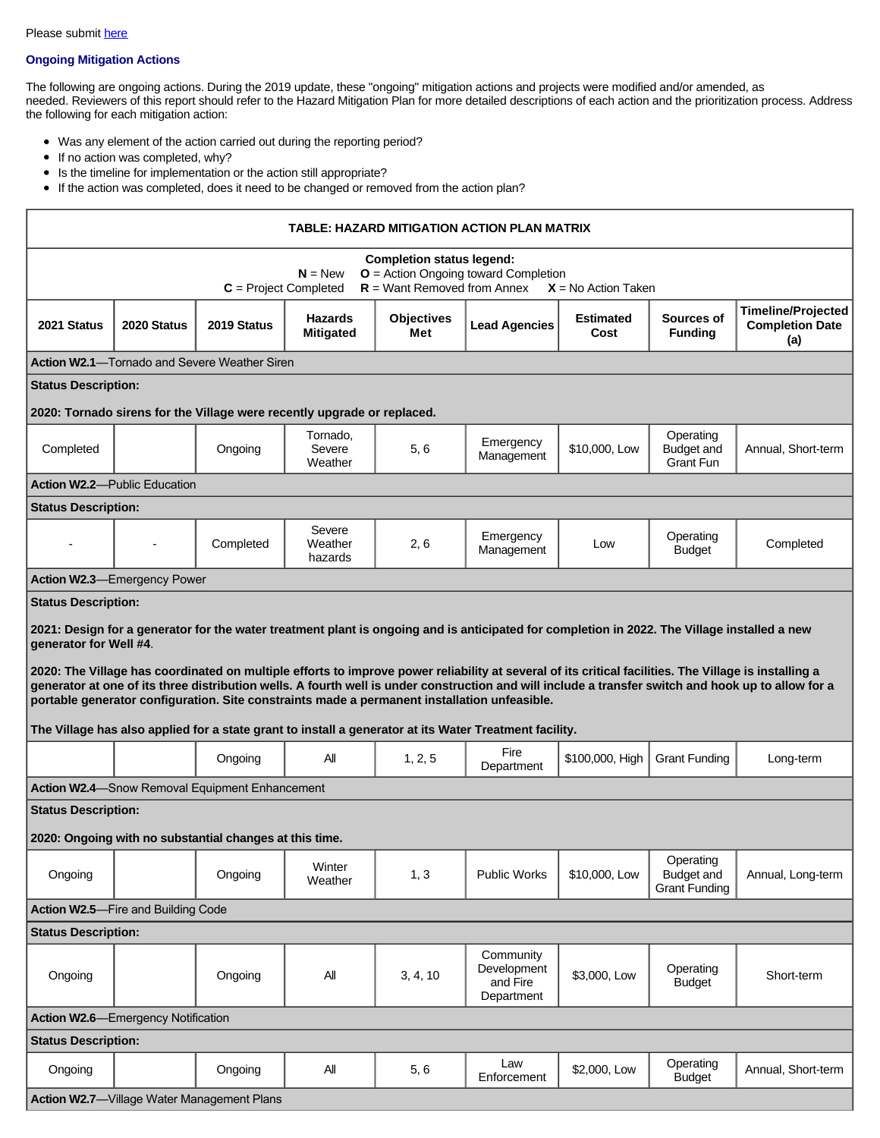# **Ongoing Mitigation Actions**

The following are ongoing actions. During the 2019 update, these "ongoing" mitigation actions and projects were modified and/or amended, as needed. Reviewers of this report should refer to the Hazard Mitigation Plan for more detailed descriptions of each action and the prioritization process. Address the following for each mitigation action:

- Was any element of the action carried out during the reporting period?
- $\bullet$  If no action was completed, why?
- Is the timeline for implementation or the action still appropriate?
- If the action was completed, does it need to be changed or removed from the action plan?

| TABLE: HAZARD MITIGATION ACTION PLAN MATRIX                                                                                                                                                                                                                                                                                                                                                                                                                                                                                                                                                                                                                                                      |             |                                                         |                                    |                          |                                                    |                          |                                                        |                                                            |  |  |  |  |
|--------------------------------------------------------------------------------------------------------------------------------------------------------------------------------------------------------------------------------------------------------------------------------------------------------------------------------------------------------------------------------------------------------------------------------------------------------------------------------------------------------------------------------------------------------------------------------------------------------------------------------------------------------------------------------------------------|-------------|---------------------------------------------------------|------------------------------------|--------------------------|----------------------------------------------------|--------------------------|--------------------------------------------------------|------------------------------------------------------------|--|--|--|--|
| <b>Completion status legend:</b><br><b>O</b> = Action Ongoing toward Completion<br>$N = New$<br>$R =$ Want Removed from Annex<br>$C = Project Completed$<br>$X = No$ Action Taken                                                                                                                                                                                                                                                                                                                                                                                                                                                                                                                |             |                                                         |                                    |                          |                                                    |                          |                                                        |                                                            |  |  |  |  |
| 2021 Status                                                                                                                                                                                                                                                                                                                                                                                                                                                                                                                                                                                                                                                                                      | 2020 Status | 2019 Status                                             | <b>Hazards</b><br><b>Mitigated</b> | <b>Objectives</b><br>Met | <b>Lead Agencies</b>                               | <b>Estimated</b><br>Cost | Sources of<br><b>Funding</b>                           | <b>Timeline/Projected</b><br><b>Completion Date</b><br>(a) |  |  |  |  |
| <b>Action W2.1—Tornado and Severe Weather Siren</b>                                                                                                                                                                                                                                                                                                                                                                                                                                                                                                                                                                                                                                              |             |                                                         |                                    |                          |                                                    |                          |                                                        |                                                            |  |  |  |  |
| <b>Status Description:</b>                                                                                                                                                                                                                                                                                                                                                                                                                                                                                                                                                                                                                                                                       |             |                                                         |                                    |                          |                                                    |                          |                                                        |                                                            |  |  |  |  |
| 2020: Tornado sirens for the Village were recently upgrade or replaced.                                                                                                                                                                                                                                                                                                                                                                                                                                                                                                                                                                                                                          |             |                                                         |                                    |                          |                                                    |                          |                                                        |                                                            |  |  |  |  |
| Completed                                                                                                                                                                                                                                                                                                                                                                                                                                                                                                                                                                                                                                                                                        |             | Ongoing                                                 | Tornado,<br>Severe<br>Weather      | 5, 6                     | Emergency<br>Management                            | \$10,000, Low            | Operating<br><b>Budget and</b><br>Grant Fun            | Annual, Short-term                                         |  |  |  |  |
| <b>Action W2.2-Public Education</b>                                                                                                                                                                                                                                                                                                                                                                                                                                                                                                                                                                                                                                                              |             |                                                         |                                    |                          |                                                    |                          |                                                        |                                                            |  |  |  |  |
| <b>Status Description:</b>                                                                                                                                                                                                                                                                                                                                                                                                                                                                                                                                                                                                                                                                       |             |                                                         |                                    |                          |                                                    |                          |                                                        |                                                            |  |  |  |  |
|                                                                                                                                                                                                                                                                                                                                                                                                                                                                                                                                                                                                                                                                                                  |             | Completed                                               | Severe<br>Weather<br>hazards       | 2, 6                     | Emergency<br>Management                            | Low                      | Operating<br><b>Budget</b>                             | Completed                                                  |  |  |  |  |
| <b>Action W2.3-Emergency Power</b>                                                                                                                                                                                                                                                                                                                                                                                                                                                                                                                                                                                                                                                               |             |                                                         |                                    |                          |                                                    |                          |                                                        |                                                            |  |  |  |  |
| 2021: Design for a generator for the water treatment plant is ongoing and is anticipated for completion in 2022. The Village installed a new<br>generator for Well #4.<br>2020: The Village has coordinated on multiple efforts to improve power reliability at several of its critical facilities. The Village is installing a<br>generator at one of its three distribution wells. A fourth well is under construction and will include a transfer switch and hook up to allow for a<br>portable generator configuration. Site constraints made a permanent installation unfeasible.<br>The Village has also applied for a state grant to install a generator at its Water Treatment facility. |             |                                                         |                                    |                          |                                                    |                          |                                                        |                                                            |  |  |  |  |
|                                                                                                                                                                                                                                                                                                                                                                                                                                                                                                                                                                                                                                                                                                  |             | Ongoing                                                 | All                                | 1, 2, 5                  | Fire<br>Department                                 | \$100,000, High          | <b>Grant Funding</b>                                   | Long-term                                                  |  |  |  |  |
|                                                                                                                                                                                                                                                                                                                                                                                                                                                                                                                                                                                                                                                                                                  |             | Action W2.4-Snow Removal Equipment Enhancement          |                                    |                          |                                                    |                          |                                                        |                                                            |  |  |  |  |
| <b>Status Description:</b>                                                                                                                                                                                                                                                                                                                                                                                                                                                                                                                                                                                                                                                                       |             | 2020: Ongoing with no substantial changes at this time. |                                    |                          |                                                    |                          |                                                        |                                                            |  |  |  |  |
| Ongoing                                                                                                                                                                                                                                                                                                                                                                                                                                                                                                                                                                                                                                                                                          |             | Ongoing                                                 | Winter<br>Weather                  | 1, 3                     | <b>Public Works</b>                                | \$10,000, Low            | Operating<br><b>Budget and</b><br><b>Grant Funding</b> | Annual, Long-term                                          |  |  |  |  |
| Action W2.5-Fire and Building Code                                                                                                                                                                                                                                                                                                                                                                                                                                                                                                                                                                                                                                                               |             |                                                         |                                    |                          |                                                    |                          |                                                        |                                                            |  |  |  |  |
| <b>Status Description:</b>                                                                                                                                                                                                                                                                                                                                                                                                                                                                                                                                                                                                                                                                       |             |                                                         |                                    |                          |                                                    |                          |                                                        |                                                            |  |  |  |  |
| Ongoing                                                                                                                                                                                                                                                                                                                                                                                                                                                                                                                                                                                                                                                                                          |             | Ongoing                                                 | All                                | 3, 4, 10                 | Community<br>Development<br>and Fire<br>Department | \$3,000, Low             | Operating<br><b>Budget</b>                             | Short-term                                                 |  |  |  |  |
| <b>Action W2.6</b> -Emergency Notification                                                                                                                                                                                                                                                                                                                                                                                                                                                                                                                                                                                                                                                       |             |                                                         |                                    |                          |                                                    |                          |                                                        |                                                            |  |  |  |  |
| <b>Status Description:</b>                                                                                                                                                                                                                                                                                                                                                                                                                                                                                                                                                                                                                                                                       |             |                                                         |                                    |                          |                                                    |                          |                                                        |                                                            |  |  |  |  |
| Ongoing                                                                                                                                                                                                                                                                                                                                                                                                                                                                                                                                                                                                                                                                                          |             | Ongoing                                                 | All                                | 5,6                      | Law<br>Enforcement                                 | \$2,000, Low             | Operating<br><b>Budget</b>                             | Annual, Short-term                                         |  |  |  |  |
| <b>Action W2.7-</b> Village Water Management Plans                                                                                                                                                                                                                                                                                                                                                                                                                                                                                                                                                                                                                                               |             |                                                         |                                    |                          |                                                    |                          |                                                        |                                                            |  |  |  |  |